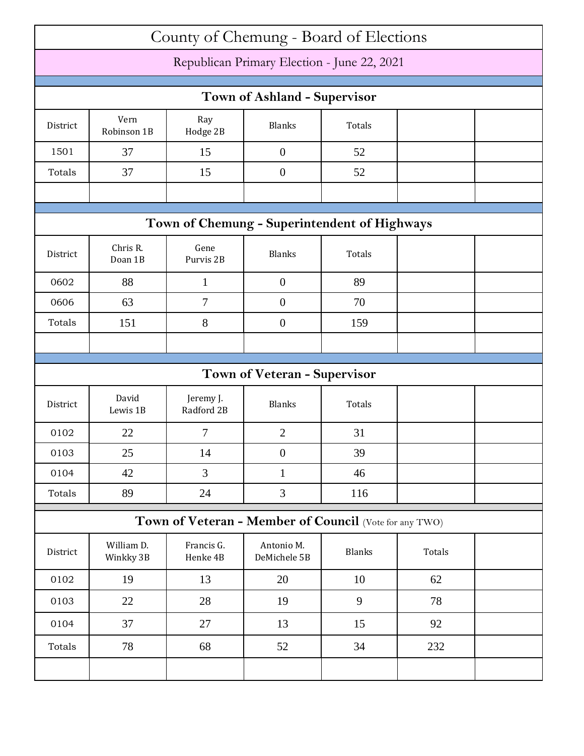| County of Chemung - Board of Elections      |                         |                         |                                                        |               |        |  |  |
|---------------------------------------------|-------------------------|-------------------------|--------------------------------------------------------|---------------|--------|--|--|
| Republican Primary Election - June 22, 2021 |                         |                         |                                                        |               |        |  |  |
|                                             |                         |                         |                                                        |               |        |  |  |
| <b>Town of Ashland - Supervisor</b>         |                         |                         |                                                        |               |        |  |  |
| District                                    | Vern<br>Robinson 1B     | Ray<br>Hodge 2B         | <b>Blanks</b>                                          | Totals        |        |  |  |
| 1501                                        | 37                      | 15                      | $\boldsymbol{0}$                                       | 52            |        |  |  |
| Totals                                      | 37                      | 15                      | $\overline{0}$                                         | 52            |        |  |  |
|                                             |                         |                         |                                                        |               |        |  |  |
|                                             |                         |                         | Town of Chemung - Superintendent of Highways           |               |        |  |  |
| District                                    | Chris R.<br>Doan 1B     | Gene<br>Purvis 2B       | <b>Blanks</b>                                          | Totals        |        |  |  |
| 0602                                        | 88                      | $\mathbf{1}$            | $\boldsymbol{0}$                                       | 89            |        |  |  |
| 0606                                        | 63                      | 7                       | $\overline{0}$                                         | 70            |        |  |  |
| Totals                                      | 151                     | 8                       | $\overline{0}$                                         | 159           |        |  |  |
|                                             |                         |                         |                                                        |               |        |  |  |
|                                             |                         |                         |                                                        |               |        |  |  |
|                                             |                         |                         |                                                        |               |        |  |  |
|                                             |                         |                         | <b>Town of Veteran - Supervisor</b>                    |               |        |  |  |
| District                                    | David<br>Lewis 1B       | Jeremy J.<br>Radford 2B | <b>Blanks</b>                                          | Totals        |        |  |  |
| 0102                                        | 22                      | 7                       | $\overline{2}$                                         | 31            |        |  |  |
| 0103                                        | 25                      | 14                      | $\boldsymbol{0}$                                       | 39            |        |  |  |
| 0104                                        | 42                      | 3                       | $\mathbf{1}$                                           | 46            |        |  |  |
| Totals                                      | 89                      | 24                      | $\mathfrak{Z}$                                         | 116           |        |  |  |
|                                             |                         |                         | Town of Veteran - Member of Council (Vote for any TWO) |               |        |  |  |
| District                                    | William D.<br>Winkky 3B | Francis G.<br>Henke 4B  | Antonio M.<br>DeMichele 5B                             | <b>Blanks</b> | Totals |  |  |
| 0102                                        | 19                      | 13                      | 20                                                     | 10            | 62     |  |  |
| 0103                                        | 22                      | 28                      | 19                                                     | 9             | 78     |  |  |
| 0104                                        | 37                      | 27                      | 13                                                     | 15            | 92     |  |  |
| Totals                                      | 78                      | 68                      | 52                                                     | 34            | 232    |  |  |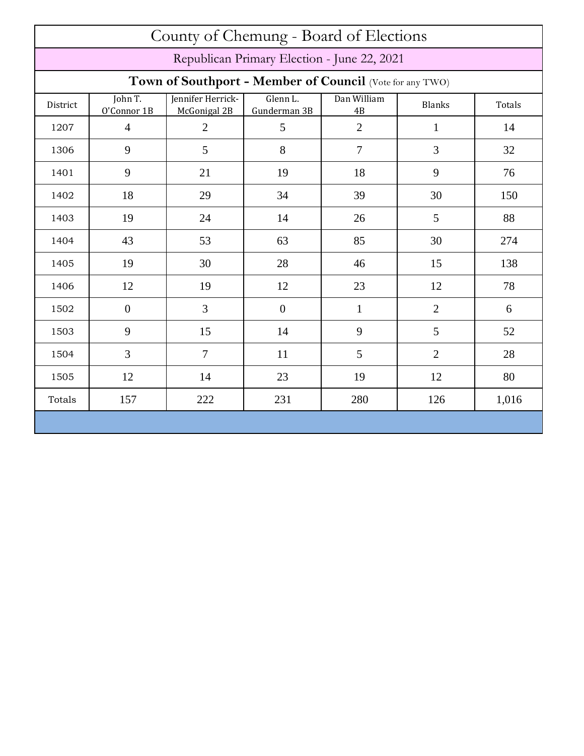| County of Chemung - Board of Elections      |                                                          |                                   |                          |                   |                |        |  |  |
|---------------------------------------------|----------------------------------------------------------|-----------------------------------|--------------------------|-------------------|----------------|--------|--|--|
| Republican Primary Election - June 22, 2021 |                                                          |                                   |                          |                   |                |        |  |  |
|                                             | Town of Southport - Member of Council (Vote for any TWO) |                                   |                          |                   |                |        |  |  |
| District                                    | John T.<br>O'Connor 1B                                   | Jennifer Herrick-<br>McGonigal 2B | Glenn L.<br>Gunderman 3B | Dan William<br>4B | <b>Blanks</b>  | Totals |  |  |
| 1207                                        | $\overline{4}$                                           | $\overline{2}$                    | 5                        | $\overline{2}$    | $\mathbf{1}$   | 14     |  |  |
| 1306                                        | 9                                                        | 5                                 | 8                        | $\overline{7}$    | $\overline{3}$ | 32     |  |  |
| 1401                                        | 9                                                        | 21                                | 19                       | 18                | 9              | 76     |  |  |
| 1402                                        | 18                                                       | 29                                | 34                       | 39                | 30             | 150    |  |  |
| 1403                                        | 19                                                       | 24                                | 14                       | 26                | 5              | 88     |  |  |
| 1404                                        | 43                                                       | 53                                | 63                       | 85                | 30             | 274    |  |  |
| 1405                                        | 19                                                       | 30                                | 28                       | 46                | 15             | 138    |  |  |
| 1406                                        | 12                                                       | 19                                | 12                       | 23                | 12             | 78     |  |  |
| 1502                                        | $\overline{0}$                                           | 3                                 | $\boldsymbol{0}$         | $\mathbf{1}$      | $\overline{2}$ | 6      |  |  |
| 1503                                        | 9                                                        | 15                                | 14                       | 9                 | 5              | 52     |  |  |
| 1504                                        | 3                                                        | $\overline{7}$                    | 11                       | 5                 | $\overline{2}$ | 28     |  |  |
| 1505                                        | 12                                                       | 14                                | 23                       | 19                | 12             | 80     |  |  |
| Totals                                      | 157                                                      | 222                               | 231                      | 280               | 126            | 1,016  |  |  |
|                                             |                                                          |                                   |                          |                   |                |        |  |  |